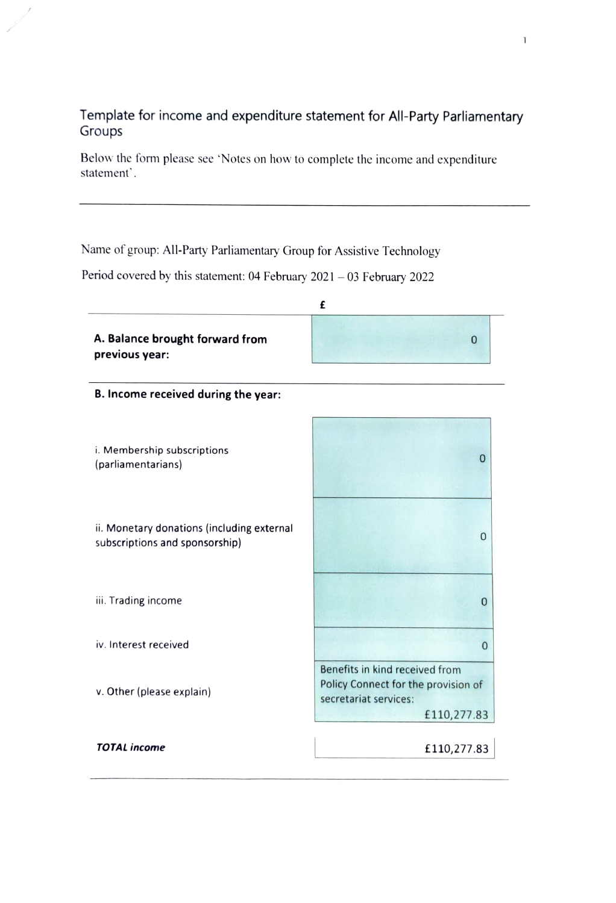## Template for income and expenditure statement for All-Party Parliamentary Groups

Below the form please see 'Notes on how to complete the income and expenditure statement'.

Name of group: All-Party Parliamentary Group for Assistive Technology

Period covered by this statement:  $04$  February  $2021 - 03$  February  $2022$ 

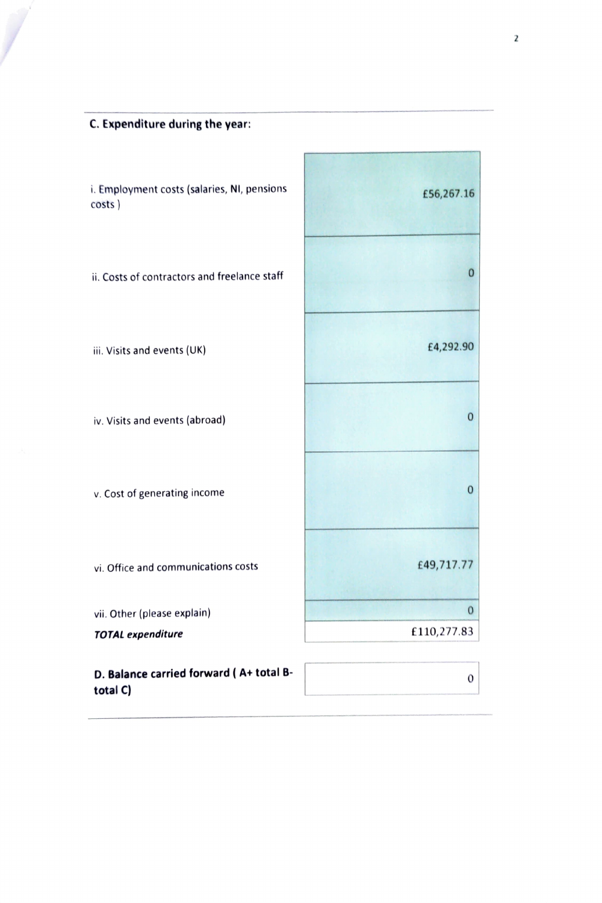C.Expenditure during the year:

| i. Employment costs (salaries, NI, pensions<br>costs) | £56,267.16   |
|-------------------------------------------------------|--------------|
| ii. Costs of contractors and freelance staff          | 0            |
| iii. Visits and events (UK)                           | £4,292.90    |
| iv. Visits and events (abroad)                        | 0            |
| v. Cost of generating income                          | 0            |
| vi. Office and communications costs                   | £49,717.77   |
| vii. Other (please explain)                           | $\mathbf{0}$ |
| <b>TOTAL expenditure</b>                              | £110,277.83  |
| D. Balance carried forward (A+ total B-<br>total C)   | 0            |

É

÷,